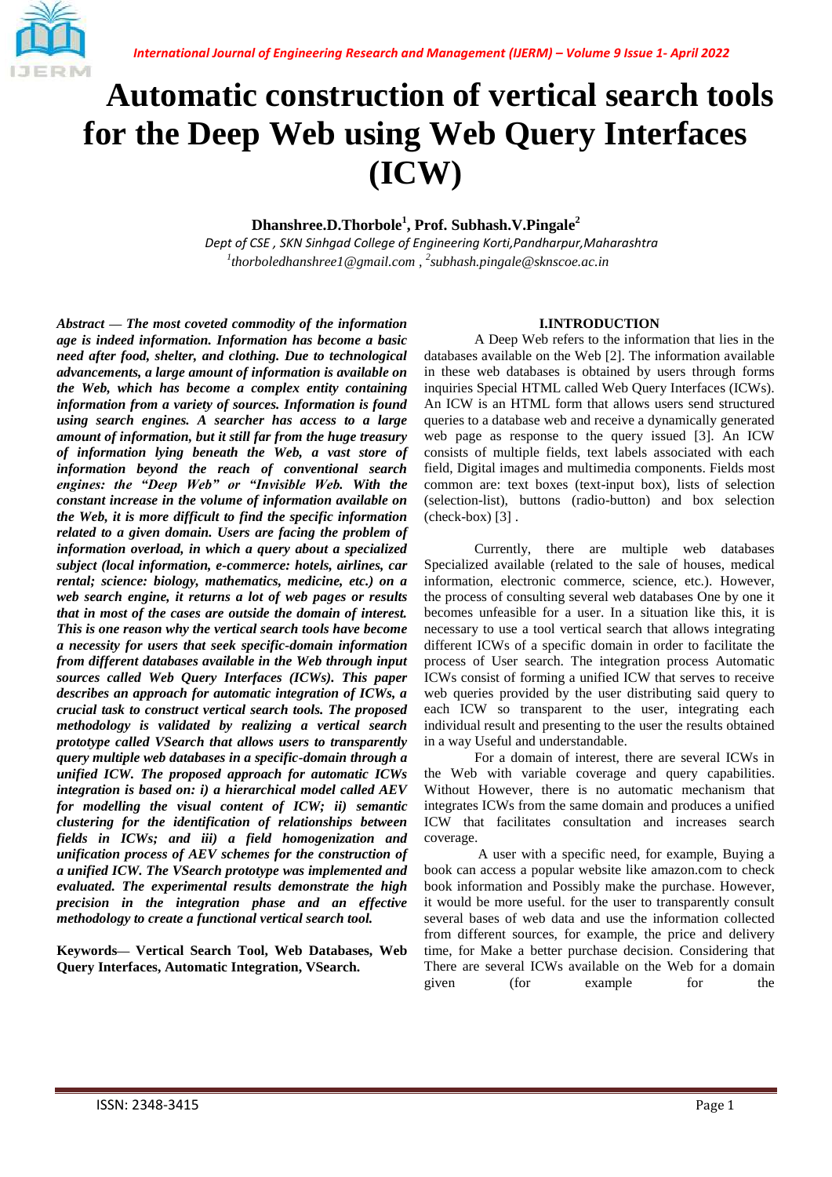

# **Automatic construction of vertical search tools for the Deep Web using Web Query Interfaces (ICW)**

## **Dhanshree.D.Thorbole<sup>1</sup> , Prof. Subhash.V.Pingale<sup>2</sup>**

*1 thorboledhanshree1@gmail.com , 2 subhash.pingale@sknscoe.ac.in Dept of CSE , SKN Sinhgad College of Engineering Korti,Pandharpur,Maharashtra* 

*Abstract* **—** *The most coveted commodity of the information age is indeed information. Information has become a basic need after food, shelter, and clothing. Due to technological advancements, a large amount of information is available on the Web, which has become a complex entity containing information from a variety of sources. Information is found using search engines. A searcher has access to a large amount of information, but it still far from the huge treasury of information lying beneath the Web, a vast store of information beyond the reach of conventional search engines: the "Deep Web" or "Invisible Web. With the constant increase in the volume of information available on the Web, it is more difficult to find the specific information related to a given domain. Users are facing the problem of information overload, in which a query about a specialized subject (local information, e-commerce: hotels, airlines, car rental; science: biology, mathematics, medicine, etc.) on a web search engine, it returns a lot of web pages or results that in most of the cases are outside the domain of interest. This is one reason why the vertical search tools have become a necessity for users that seek specific-domain information from different databases available in the Web through input sources called Web Query Interfaces (ICWs). This paper describes an approach for automatic integration of ICWs, a crucial task to construct vertical search tools. The proposed methodology is validated by realizing a vertical search prototype called VSearch that allows users to transparently query multiple web databases in a specific-domain through a unified ICW. The proposed approach for automatic ICWs integration is based on: i) a hierarchical model called AEV for modelling the visual content of ICW; ii) semantic clustering for the identification of relationships between fields in ICWs; and iii) a field homogenization and unification process of AEV schemes for the construction of a unified ICW. The VSearch prototype was implemented and evaluated. The experimental results demonstrate the high precision in the integration phase and an effective methodology to create a functional vertical search tool.*

**Keywords— Vertical Search Tool, Web Databases, Web Query Interfaces, Automatic Integration, VSearch.**

#### **I.INTRODUCTION**

A Deep Web refers to the information that lies in the databases available on the Web [2]. The information available in these web databases is obtained by users through forms inquiries Special HTML called Web Query Interfaces (ICWs). An ICW is an HTML form that allows users send structured queries to a database web and receive a dynamically generated web page as response to the query issued [3]. An ICW consists of multiple fields, text labels associated with each field, Digital images and multimedia components. Fields most common are: text boxes (text-input box), lists of selection (selection-list), buttons (radio-button) and box selection  $(check-box)$  [3].

Currently, there are multiple web databases Specialized available (related to the sale of houses, medical information, electronic commerce, science, etc.). However, the process of consulting several web databases One by one it becomes unfeasible for a user. In a situation like this, it is necessary to use a tool vertical search that allows integrating different ICWs of a specific domain in order to facilitate the process of User search. The integration process Automatic ICWs consist of forming a unified ICW that serves to receive web queries provided by the user distributing said query to each ICW so transparent to the user, integrating each individual result and presenting to the user the results obtained in a way Useful and understandable.

For a domain of interest, there are several ICWs in the Web with variable coverage and query capabilities. Without However, there is no automatic mechanism that integrates ICWs from the same domain and produces a unified ICW that facilitates consultation and increases search coverage.

A user with a specific need, for example, Buying a book can access a popular website like amazon.com to check book information and Possibly make the purchase. However, it would be more useful. for the user to transparently consult several bases of web data and use the information collected from different sources, for example, the price and delivery time, for Make a better purchase decision. Considering that There are several ICWs available on the Web for a domain given (for example for the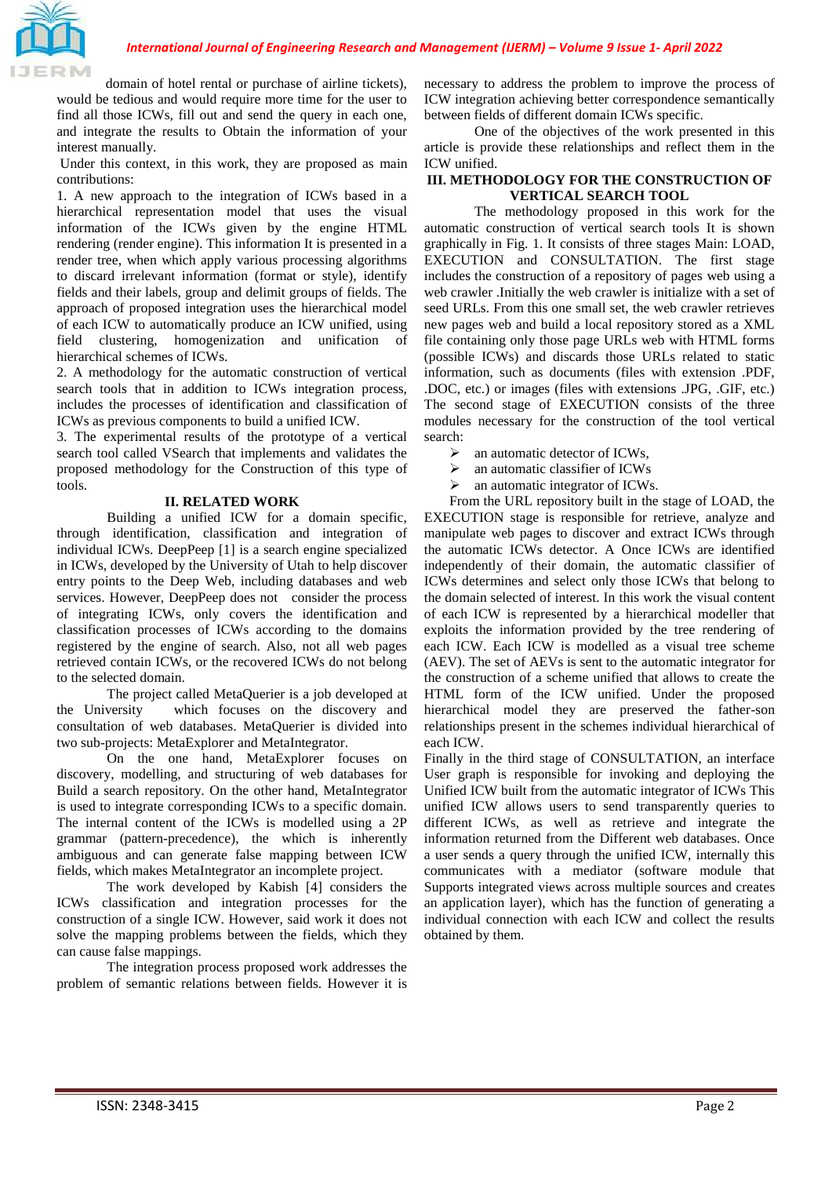domain of hotel rental or purchase of airline tickets), would be tedious and would require more time for the user to find all those ICWs, fill out and send the query in each one, and integrate the results to Obtain the information of your interest manually.

Under this context, in this work, they are proposed as main contributions:

1. A new approach to the integration of ICWs based in a hierarchical representation model that uses the visual information of the ICWs given by the engine HTML rendering (render engine). This information It is presented in a render tree, when which apply various processing algorithms to discard irrelevant information (format or style), identify fields and their labels, group and delimit groups of fields. The approach of proposed integration uses the hierarchical model of each ICW to automatically produce an ICW unified, using field clustering, homogenization and unification of hierarchical schemes of ICWs.

2. A methodology for the automatic construction of vertical search tools that in addition to ICWs integration process, includes the processes of identification and classification of ICWs as previous components to build a unified ICW.

3. The experimental results of the prototype of a vertical search tool called VSearch that implements and validates the proposed methodology for the Construction of this type of tools.

#### **II. RELATED WORK**

Building a unified ICW for a domain specific, through identification, classification and integration of individual ICWs. DeepPeep [1] is a search engine specialized in ICWs, developed by the University of Utah to help discover entry points to the Deep Web, including databases and web services. However, DeepPeep does not consider the process of integrating ICWs, only covers the identification and classification processes of ICWs according to the domains registered by the engine of search. Also, not all web pages retrieved contain ICWs, or the recovered ICWs do not belong to the selected domain.

The project called MetaQuerier is a job developed at the University which focuses on the discovery and consultation of web databases. MetaQuerier is divided into two sub-projects: MetaExplorer and MetaIntegrator.

On the one hand, MetaExplorer focuses on discovery, modelling, and structuring of web databases for Build a search repository. On the other hand, MetaIntegrator is used to integrate corresponding ICWs to a specific domain. The internal content of the ICWs is modelled using a 2P grammar (pattern-precedence), the which is inherently ambiguous and can generate false mapping between ICW fields, which makes MetaIntegrator an incomplete project.

The work developed by Kabish [4] considers the ICWs classification and integration processes for the construction of a single ICW. However, said work it does not solve the mapping problems between the fields, which they can cause false mappings.

The integration process proposed work addresses the problem of semantic relations between fields. However it is necessary to address the problem to improve the process of ICW integration achieving better correspondence semantically between fields of different domain ICWs specific.

One of the objectives of the work presented in this article is provide these relationships and reflect them in the ICW unified.

#### **III. METHODOLOGY FOR THE CONSTRUCTION OF VERTICAL SEARCH TOOL**

The methodology proposed in this work for the automatic construction of vertical search tools It is shown graphically in Fig. 1. It consists of three stages Main: LOAD, EXECUTION and CONSULTATION. The first stage includes the construction of a repository of pages web using a web crawler .Initially the web crawler is initialize with a set of seed URLs. From this one small set, the web crawler retrieves new pages web and build a local repository stored as a XML file containing only those page URLs web with HTML forms (possible ICWs) and discards those URLs related to static information, such as documents (files with extension .PDF, .DOC, etc.) or images (files with extensions .JPG, .GIF, etc.) The second stage of EXECUTION consists of the three modules necessary for the construction of the tool vertical search:

- $\geq$  an automatic detector of ICWs,<br> $\geq$  an automatic classifier of ICWs
- an automatic classifier of ICWs
- $\triangleright$  an automatic integrator of ICWs.

From the URL repository built in the stage of LOAD, the EXECUTION stage is responsible for retrieve, analyze and manipulate web pages to discover and extract ICWs through the automatic ICWs detector. A Once ICWs are identified independently of their domain, the automatic classifier of ICWs determines and select only those ICWs that belong to the domain selected of interest. In this work the visual content of each ICW is represented by a hierarchical modeller that exploits the information provided by the tree rendering of each ICW. Each ICW is modelled as a visual tree scheme (AEV). The set of AEVs is sent to the automatic integrator for the construction of a scheme unified that allows to create the HTML form of the ICW unified. Under the proposed hierarchical model they are preserved the father-son relationships present in the schemes individual hierarchical of each ICW.

Finally in the third stage of CONSULTATION, an interface User graph is responsible for invoking and deploying the Unified ICW built from the automatic integrator of ICWs This unified ICW allows users to send transparently queries to different ICWs, as well as retrieve and integrate the information returned from the Different web databases. Once a user sends a query through the unified ICW, internally this communicates with a mediator (software module that Supports integrated views across multiple sources and creates an application layer), which has the function of generating a individual connection with each ICW and collect the results obtained by them.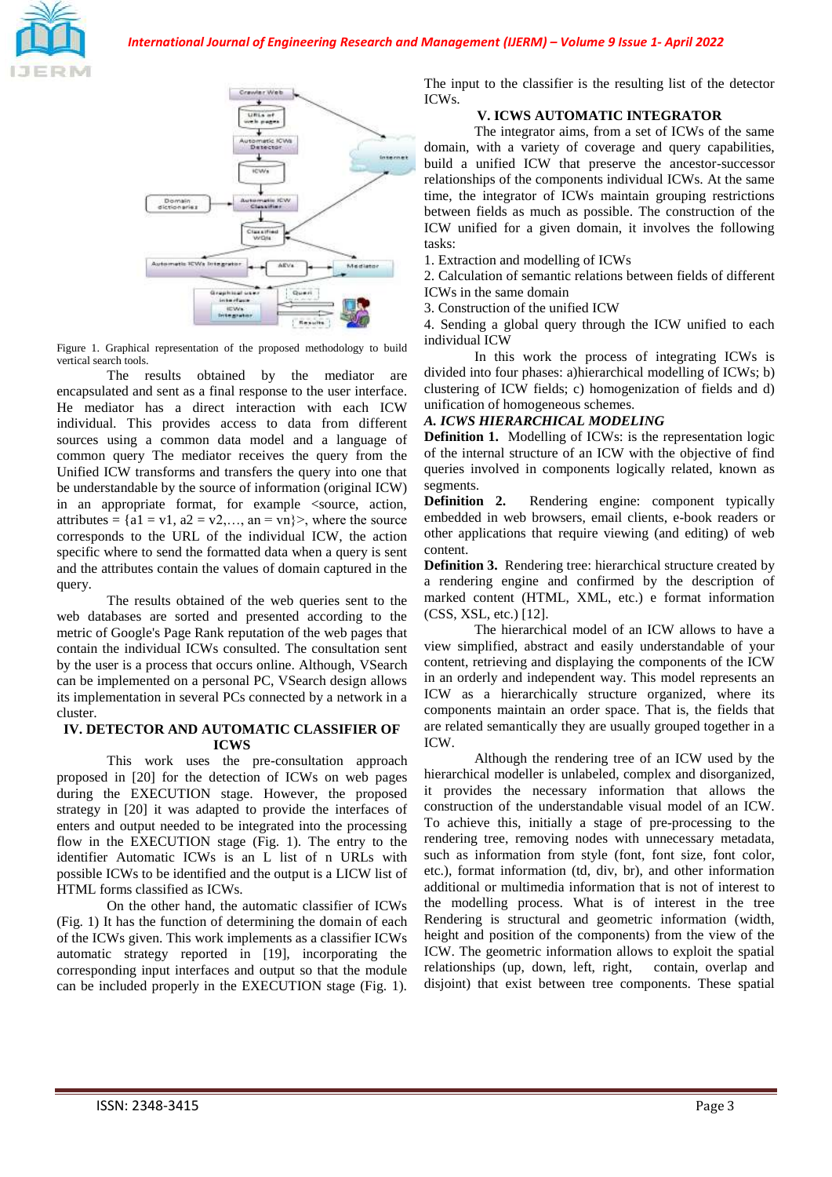



Figure 1. Graphical representation of the proposed methodology to build vertical search tools.

The results obtained by the mediator are encapsulated and sent as a final response to the user interface. He mediator has a direct interaction with each ICW individual. This provides access to data from different sources using a common data model and a language of common query The mediator receives the query from the Unified ICW transforms and transfers the query into one that be understandable by the source of information (original ICW) in an appropriate format, for example <source, action, attributes =  ${a1 = v1, a2 = v2,..., an = vn}$ , where the source corresponds to the URL of the individual ICW, the action specific where to send the formatted data when a query is sent and the attributes contain the values of domain captured in the query.

The results obtained of the web queries sent to the web databases are sorted and presented according to the metric of Google's Page Rank reputation of the web pages that contain the individual ICWs consulted. The consultation sent by the user is a process that occurs online. Although, VSearch can be implemented on a personal PC, VSearch design allows its implementation in several PCs connected by a network in a cluster.

#### **IV. DETECTOR AND AUTOMATIC CLASSIFIER OF ICWS**

This work uses the pre-consultation approach proposed in [20] for the detection of ICWs on web pages during the EXECUTION stage. However, the proposed strategy in [20] it was adapted to provide the interfaces of enters and output needed to be integrated into the processing flow in the EXECUTION stage (Fig. 1). The entry to the identifier Automatic ICWs is an L list of n URLs with possible ICWs to be identified and the output is a LICW list of HTML forms classified as ICWs.

On the other hand, the automatic classifier of ICWs (Fig. 1) It has the function of determining the domain of each of the ICWs given. This work implements as a classifier ICWs automatic strategy reported in [19], incorporating the corresponding input interfaces and output so that the module can be included properly in the EXECUTION stage (Fig. 1). The input to the classifier is the resulting list of the detector ICWs.

# **V. ICWS AUTOMATIC INTEGRATOR**

The integrator aims, from a set of ICWs of the same domain, with a variety of coverage and query capabilities, build a unified ICW that preserve the ancestor-successor relationships of the components individual ICWs. At the same time, the integrator of ICWs maintain grouping restrictions between fields as much as possible. The construction of the ICW unified for a given domain, it involves the following tasks:

1. Extraction and modelling of ICWs

2. Calculation of semantic relations between fields of different ICWs in the same domain

3. Construction of the unified ICW

4. Sending a global query through the ICW unified to each individual ICW

In this work the process of integrating ICWs is divided into four phases: a)hierarchical modelling of ICWs; b) clustering of ICW fields; c) homogenization of fields and d) unification of homogeneous schemes.

# *A. ICWS HIERARCHICAL MODELING*

**Definition 1.** Modelling of ICWs: is the representation logic of the internal structure of an ICW with the objective of find queries involved in components logically related, known as segments.

**Definition 2.** Rendering engine: component typically embedded in web browsers, email clients, e-book readers or other applications that require viewing (and editing) of web content.

**Definition 3.** Rendering tree: hierarchical structure created by a rendering engine and confirmed by the description of marked content (HTML, XML, etc.) e format information (CSS, XSL, etc.) [12].

The hierarchical model of an ICW allows to have a view simplified, abstract and easily understandable of your content, retrieving and displaying the components of the ICW in an orderly and independent way. This model represents an ICW as a hierarchically structure organized, where its components maintain an order space. That is, the fields that are related semantically they are usually grouped together in a ICW.

Although the rendering tree of an ICW used by the hierarchical modeller is unlabeled, complex and disorganized, it provides the necessary information that allows the construction of the understandable visual model of an ICW. To achieve this, initially a stage of pre-processing to the rendering tree, removing nodes with unnecessary metadata, such as information from style (font, font size, font color, etc.), format information (td, div, br), and other information additional or multimedia information that is not of interest to the modelling process. What is of interest in the tree Rendering is structural and geometric information (width, height and position of the components) from the view of the ICW. The geometric information allows to exploit the spatial relationships (up, down, left, right, contain, overlap and disjoint) that exist between tree components. These spatial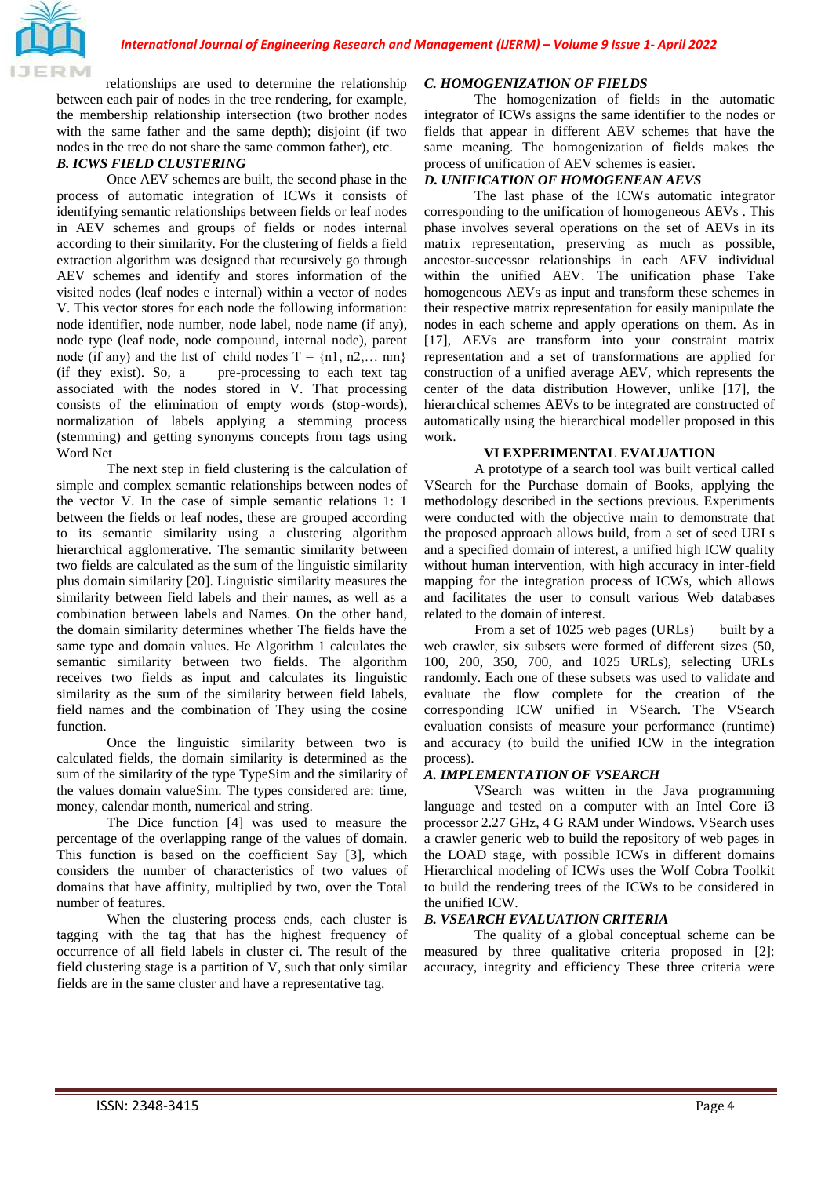

relationships are used to determine the relationship between each pair of nodes in the tree rendering, for example, the membership relationship intersection (two brother nodes with the same father and the same depth); disjoint (if two nodes in the tree do not share the same common father), etc.

## *B. ICWS FIELD CLUSTERING*

Once AEV schemes are built, the second phase in the process of automatic integration of ICWs it consists of identifying semantic relationships between fields or leaf nodes in AEV schemes and groups of fields or nodes internal according to their similarity. For the clustering of fields a field extraction algorithm was designed that recursively go through AEV schemes and identify and stores information of the visited nodes (leaf nodes e internal) within a vector of nodes V. This vector stores for each node the following information: node identifier, node number, node label, node name (if any), node type (leaf node, node compound, internal node), parent node (if any) and the list of child nodes  $T = \{n1, n2,... \text{ nm}\}\$ (if they exist). So, a pre-processing to each text tag associated with the nodes stored in V. That processing consists of the elimination of empty words (stop-words), normalization of labels applying a stemming process (stemming) and getting synonyms concepts from tags using Word Net

The next step in field clustering is the calculation of simple and complex semantic relationships between nodes of the vector V. In the case of simple semantic relations 1: 1 between the fields or leaf nodes, these are grouped according to its semantic similarity using a clustering algorithm hierarchical agglomerative. The semantic similarity between two fields are calculated as the sum of the linguistic similarity plus domain similarity [20]. Linguistic similarity measures the similarity between field labels and their names, as well as a combination between labels and Names. On the other hand, the domain similarity determines whether The fields have the same type and domain values. He Algorithm 1 calculates the semantic similarity between two fields. The algorithm receives two fields as input and calculates its linguistic similarity as the sum of the similarity between field labels, field names and the combination of They using the cosine function.

Once the linguistic similarity between two is calculated fields, the domain similarity is determined as the sum of the similarity of the type TypeSim and the similarity of the values domain valueSim. The types considered are: time, money, calendar month, numerical and string.

The Dice function [4] was used to measure the percentage of the overlapping range of the values of domain. This function is based on the coefficient Say [3], which considers the number of characteristics of two values of domains that have affinity, multiplied by two, over the Total number of features.

When the clustering process ends, each cluster is tagging with the tag that has the highest frequency of occurrence of all field labels in cluster ci. The result of the field clustering stage is a partition of V, such that only similar fields are in the same cluster and have a representative tag.

#### *C. HOMOGENIZATION OF FIELDS*

The homogenization of fields in the automatic integrator of ICWs assigns the same identifier to the nodes or fields that appear in different AEV schemes that have the same meaning. The homogenization of fields makes the process of unification of AEV schemes is easier.

### *D. UNIFICATION OF HOMOGENEAN AEVS*

The last phase of the ICWs automatic integrator corresponding to the unification of homogeneous AEVs . This phase involves several operations on the set of AEVs in its matrix representation, preserving as much as possible, ancestor-successor relationships in each AEV individual within the unified AEV. The unification phase Take homogeneous AEVs as input and transform these schemes in their respective matrix representation for easily manipulate the nodes in each scheme and apply operations on them. As in [17], AEVs are transform into your constraint matrix representation and a set of transformations are applied for construction of a unified average AEV, which represents the center of the data distribution However, unlike [17], the hierarchical schemes AEVs to be integrated are constructed of automatically using the hierarchical modeller proposed in this work.

#### **VI EXPERIMENTAL EVALUATION**

A prototype of a search tool was built vertical called VSearch for the Purchase domain of Books, applying the methodology described in the sections previous. Experiments were conducted with the objective main to demonstrate that the proposed approach allows build, from a set of seed URLs and a specified domain of interest, a unified high ICW quality without human intervention, with high accuracy in inter-field mapping for the integration process of ICWs, which allows and facilitates the user to consult various Web databases related to the domain of interest.

From a set of 1025 web pages (URLs) built by a web crawler, six subsets were formed of different sizes (50, 100, 200, 350, 700, and 1025 URLs), selecting URLs randomly. Each one of these subsets was used to validate and evaluate the flow complete for the creation of the corresponding ICW unified in VSearch. The VSearch evaluation consists of measure your performance (runtime) and accuracy (to build the unified ICW in the integration process).

#### *A. IMPLEMENTATION OF VSEARCH*

VSearch was written in the Java programming language and tested on a computer with an Intel Core i3 processor 2.27 GHz, 4 G RAM under Windows. VSearch uses a crawler generic web to build the repository of web pages in the LOAD stage, with possible ICWs in different domains Hierarchical modeling of ICWs uses the Wolf Cobra Toolkit to build the rendering trees of the ICWs to be considered in the unified ICW.

#### *B. VSEARCH EVALUATION CRITERIA*

The quality of a global conceptual scheme can be measured by three qualitative criteria proposed in [2]: accuracy, integrity and efficiency These three criteria were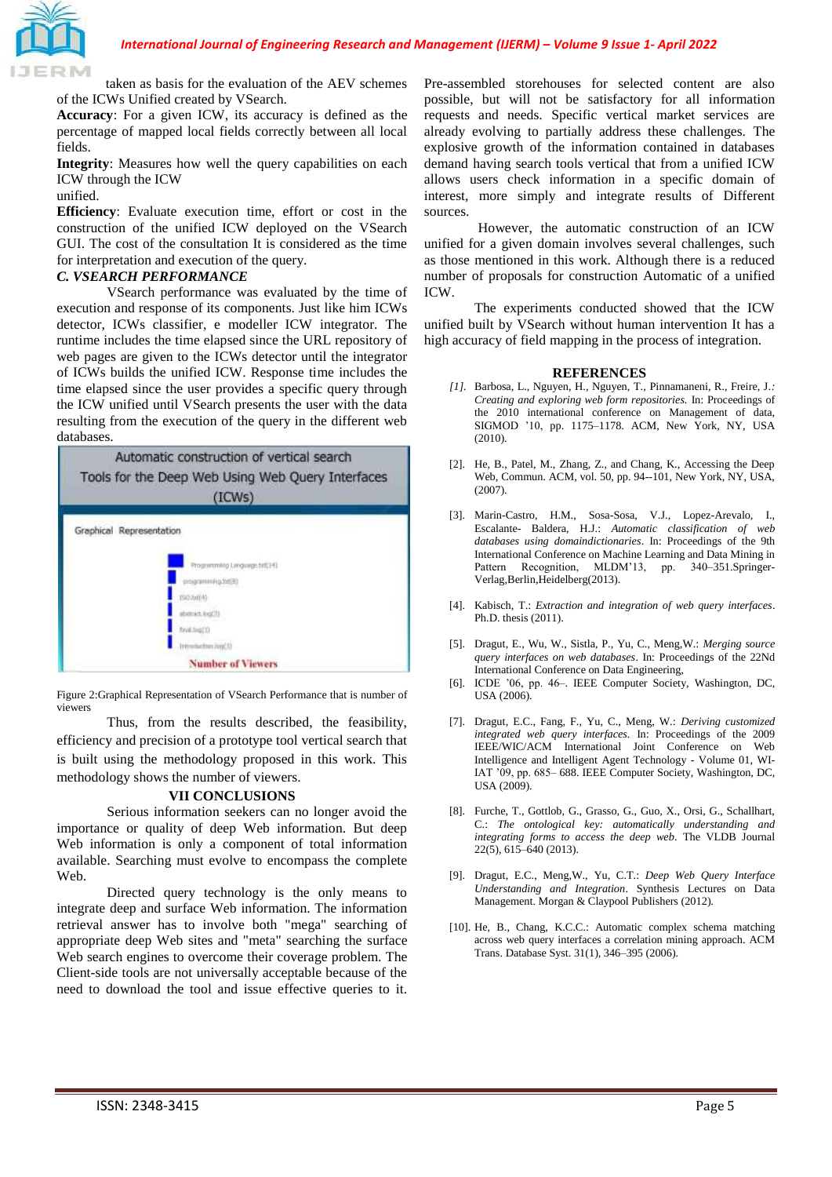

taken as basis for the evaluation of the AEV schemes of the ICWs Unified created by VSearch.

**Accuracy**: For a given ICW, its accuracy is defined as the percentage of mapped local fields correctly between all local fields.

**Integrity**: Measures how well the query capabilities on each ICW through the ICW

#### unified.

**Efficiency**: Evaluate execution time, effort or cost in the construction of the unified ICW deployed on the VSearch GUI. The cost of the consultation It is considered as the time for interpretation and execution of the query.

## *C. VSEARCH PERFORMANCE*

VSearch performance was evaluated by the time of execution and response of its components. Just like him ICWs detector, ICWs classifier, e modeller ICW integrator. The runtime includes the time elapsed since the URL repository of web pages are given to the ICWs detector until the integrator of ICWs builds the unified ICW. Response time includes the time elapsed since the user provides a specific query through the ICW unified until VSearch presents the user with the data resulting from the execution of the query in the different web databases.



Figure 2:Graphical Representation of VSearch Performance that is number of viewers

Thus, from the results described, the feasibility, efficiency and precision of a prototype tool vertical search that is built using the methodology proposed in this work. This methodology shows the number of viewers.

#### **VII CONCLUSIONS**

Serious information seekers can no longer avoid the importance or quality of deep Web information. But deep Web information is only a component of total information available. Searching must evolve to encompass the complete Web.

Directed query technology is the only means to integrate deep and surface Web information. The information retrieval answer has to involve both "mega" searching of appropriate deep Web sites and "meta" searching the surface Web search engines to overcome their coverage problem. The Client-side tools are not universally acceptable because of the need to download the tool and issue effective queries to it.

Pre-assembled storehouses for selected content are also possible, but will not be satisfactory for all information requests and needs. Specific vertical market services are already evolving to partially address these challenges. The explosive growth of the information contained in databases demand having search tools vertical that from a unified ICW allows users check information in a specific domain of interest, more simply and integrate results of Different sources.

However, the automatic construction of an ICW unified for a given domain involves several challenges, such as those mentioned in this work. Although there is a reduced number of proposals for construction Automatic of a unified ICW.

The experiments conducted showed that the ICW unified built by VSearch without human intervention It has a high accuracy of field mapping in the process of integration.

#### **REFERENCES**

- *[1].* Barbosa, L., Nguyen, H., Nguyen, T., Pinnamaneni, R., Freire, J.*: Creating and exploring web form repositories.* In: Proceedings of the 2010 international conference on Management of data, SIGMOD '10, pp. 1175–1178. ACM, New York, NY, USA (2010).
- [2]. He, B., Patel, M., Zhang, Z., and Chang, K., Accessing the Deep Web, Commun. ACM, vol. 50, pp. 94--101, New York, NY, USA, (2007).
- [3]. Marin-Castro, H.M., Sosa-Sosa, V.J., Lopez-Arevalo, I., Escalante- Baldera, H.J.: *Automatic classification of web databases using domaindictionaries*. In: Proceedings of the 9th International Conference on Machine Learning and Data Mining in Pattern Recognition, MLDM'13, pp. 340–351.Springer-Verlag,Berlin,Heidelberg(2013).
- [4]. Kabisch, T.: *Extraction and integration of web query interfaces*. Ph.D. thesis (2011).
- [5]. Dragut, E., Wu, W., Sistla, P., Yu, C., Meng,W.: *Merging source query interfaces on web databases*. In: Proceedings of the 22Nd International Conference on Data Engineering,
- [6]. ICDE '06, pp. 46–. IEEE Computer Society, Washington, DC, USA (2006).
- [7]. Dragut, E.C., Fang, F., Yu, C., Meng, W.: *Deriving customized integrated web query interfaces.* In: Proceedings of the 2009 IEEE/WIC/ACM International Joint Conference on Web Intelligence and Intelligent Agent Technology - Volume 01, WI-IAT '09, pp. 685– 688. IEEE Computer Society, Washington, DC, USA (2009).
- [8]. Furche, T., Gottlob, G., Grasso, G., Guo, X., Orsi, G., Schallhart, C.: *The ontological key: automatically understanding and integrating forms to access the deep web*. The VLDB Journal 22(5), 615–640 (2013).
- [9]. Dragut, E.C., Meng,W., Yu, C.T.: *Deep Web Query Interface Understanding and Integration*. Synthesis Lectures on Data Management. Morgan & Claypool Publishers (2012).
- [10]. He, B., Chang, K.C.C.: Automatic complex schema matching across web query interfaces a correlation mining approach. ACM Trans. Database Syst. 31(1), 346–395 (2006).